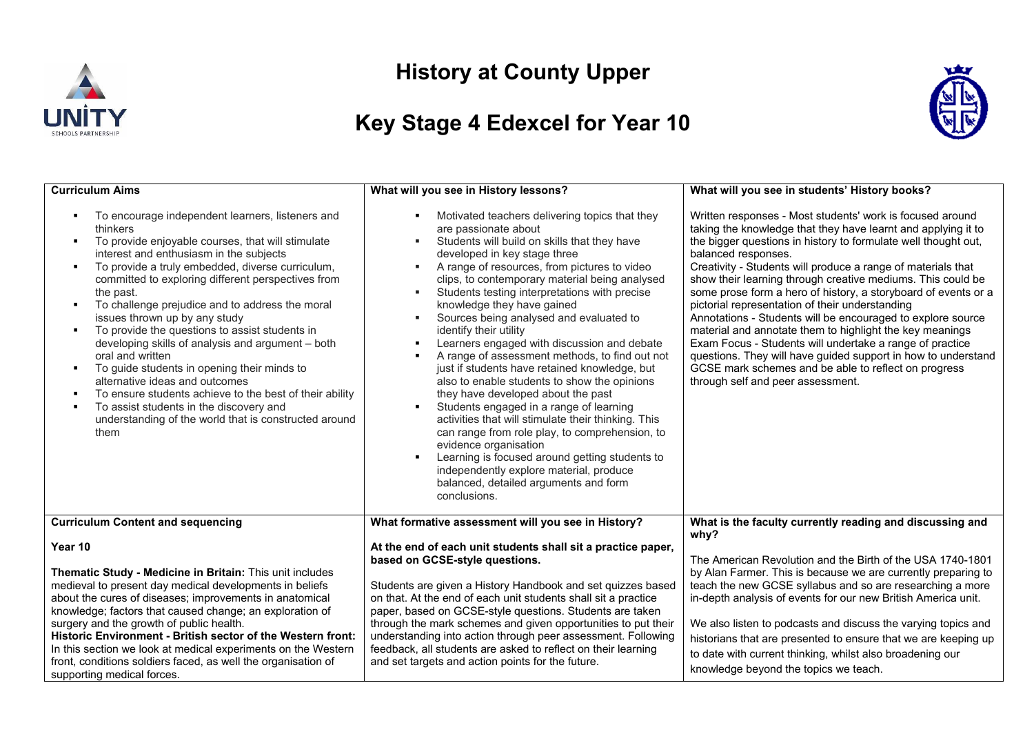

## **History at County Upper**

## **Key Stage 4 Edexcel for Year 10**



| <b>Curriculum Aims</b>                                                                                                                                                                                                                                                                                                                                                                                                                                                                                                                                                                                                                                                                                                                                                                                                                                                  | What will you see in History lessons?                                                                                                                                                                                                                                                                                                                                                                                                                                                                                                                                                                                                                                                                                                                                                                                                                                                                                                                                                                   | What will you see in students' History books?                                                                                                                                                                                                                                                                                                                                                                                                                                                                                                                                                                                                                                                                                                                                                                                |
|-------------------------------------------------------------------------------------------------------------------------------------------------------------------------------------------------------------------------------------------------------------------------------------------------------------------------------------------------------------------------------------------------------------------------------------------------------------------------------------------------------------------------------------------------------------------------------------------------------------------------------------------------------------------------------------------------------------------------------------------------------------------------------------------------------------------------------------------------------------------------|---------------------------------------------------------------------------------------------------------------------------------------------------------------------------------------------------------------------------------------------------------------------------------------------------------------------------------------------------------------------------------------------------------------------------------------------------------------------------------------------------------------------------------------------------------------------------------------------------------------------------------------------------------------------------------------------------------------------------------------------------------------------------------------------------------------------------------------------------------------------------------------------------------------------------------------------------------------------------------------------------------|------------------------------------------------------------------------------------------------------------------------------------------------------------------------------------------------------------------------------------------------------------------------------------------------------------------------------------------------------------------------------------------------------------------------------------------------------------------------------------------------------------------------------------------------------------------------------------------------------------------------------------------------------------------------------------------------------------------------------------------------------------------------------------------------------------------------------|
| To encourage independent learners, listeners and<br>thinkers<br>To provide enjoyable courses, that will stimulate<br>$\blacksquare$<br>interest and enthusiasm in the subjects<br>To provide a truly embedded, diverse curriculum,<br>$\blacksquare$<br>committed to exploring different perspectives from<br>the past.<br>To challenge prejudice and to address the moral<br>$\blacksquare$<br>issues thrown up by any study<br>To provide the questions to assist students in<br>$\bullet$<br>developing skills of analysis and argument - both<br>oral and written<br>To guide students in opening their minds to<br>$\blacksquare$<br>alternative ideas and outcomes<br>To ensure students achieve to the best of their ability<br>л.<br>To assist students in the discovery and<br>$\blacksquare$<br>understanding of the world that is constructed around<br>them | Motivated teachers delivering topics that they<br>are passionate about<br>Students will build on skills that they have<br>٠<br>developed in key stage three<br>A range of resources, from pictures to video<br>clips, to contemporary material being analysed<br>Students testing interpretations with precise<br>×.<br>knowledge they have gained<br>Sources being analysed and evaluated to<br>٠<br>identify their utility<br>Learners engaged with discussion and debate<br>A range of assessment methods, to find out not<br>just if students have retained knowledge, but<br>also to enable students to show the opinions<br>they have developed about the past<br>Students engaged in a range of learning<br>activities that will stimulate their thinking. This<br>can range from role play, to comprehension, to<br>evidence organisation<br>Learning is focused around getting students to<br>independently explore material, produce<br>balanced, detailed arguments and form<br>conclusions. | Written responses - Most students' work is focused around<br>taking the knowledge that they have learnt and applying it to<br>the bigger questions in history to formulate well thought out,<br>balanced responses.<br>Creativity - Students will produce a range of materials that<br>show their learning through creative mediums. This could be<br>some prose form a hero of history, a storyboard of events or a<br>pictorial representation of their understanding<br>Annotations - Students will be encouraged to explore source<br>material and annotate them to highlight the key meanings<br>Exam Focus - Students will undertake a range of practice<br>questions. They will have guided support in how to understand<br>GCSE mark schemes and be able to reflect on progress<br>through self and peer assessment. |
| <b>Curriculum Content and sequencing</b>                                                                                                                                                                                                                                                                                                                                                                                                                                                                                                                                                                                                                                                                                                                                                                                                                                | What formative assessment will you see in History?                                                                                                                                                                                                                                                                                                                                                                                                                                                                                                                                                                                                                                                                                                                                                                                                                                                                                                                                                      | What is the faculty currently reading and discussing and<br>why?                                                                                                                                                                                                                                                                                                                                                                                                                                                                                                                                                                                                                                                                                                                                                             |
| Year 10<br>Thematic Study - Medicine in Britain: This unit includes<br>medieval to present day medical developments in beliefs<br>about the cures of diseases; improvements in anatomical<br>knowledge; factors that caused change; an exploration of<br>surgery and the growth of public health.<br>Historic Environment - British sector of the Western front:<br>In this section we look at medical experiments on the Western<br>front, conditions soldiers faced, as well the organisation of<br>supporting medical forces.                                                                                                                                                                                                                                                                                                                                        | At the end of each unit students shall sit a practice paper,<br>based on GCSE-style questions.<br>Students are given a History Handbook and set quizzes based<br>on that. At the end of each unit students shall sit a practice<br>paper, based on GCSE-style questions. Students are taken<br>through the mark schemes and given opportunities to put their<br>understanding into action through peer assessment. Following<br>feedback, all students are asked to reflect on their learning<br>and set targets and action points for the future.                                                                                                                                                                                                                                                                                                                                                                                                                                                      | The American Revolution and the Birth of the USA 1740-1801<br>by Alan Farmer. This is because we are currently preparing to<br>teach the new GCSE syllabus and so are researching a more<br>in-depth analysis of events for our new British America unit.<br>We also listen to podcasts and discuss the varying topics and<br>historians that are presented to ensure that we are keeping up<br>to date with current thinking, whilst also broadening our<br>knowledge beyond the topics we teach.                                                                                                                                                                                                                                                                                                                           |